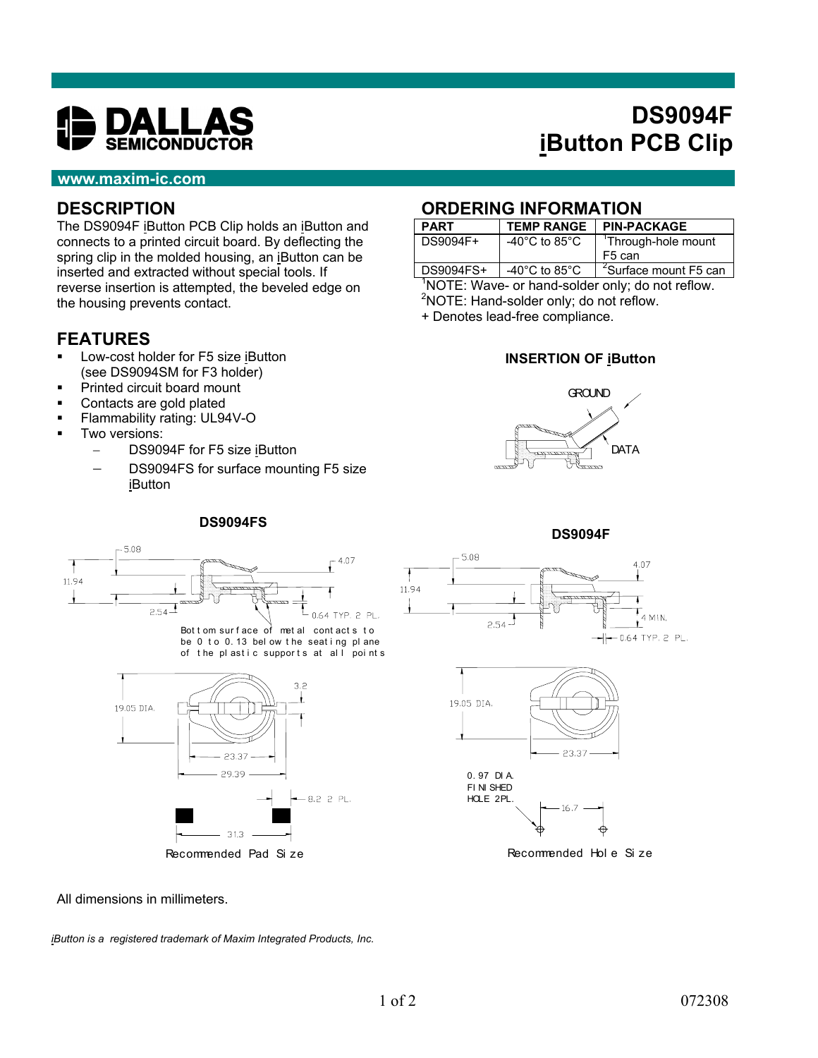

# **DS9094F iButton PCB Clip**

#### **www.maxim-ic.com**

#### **DESCRIPTION**

The DS9094F iButton PCB Clip holds an iButton and connects to a printed circuit board. By deflecting the spring clip in the molded housing, an iButton can be inserted and extracted without special tools. If reverse insertion is attempted, the beveled edge on the housing prevents contact.

## **FEATURES**

- Low-cost holder for F5 size iButton (see DS9094SM for F3 holder)
- **Printed circuit board mount**
- **Contacts are gold plated**

5.08

- **Flammability rating: UL94V-O**
- Two versions:
	- DS9094F for F5 size iButton
	- DS9094FS for surface mounting F5 size iButton

**DS9094FS**

### **ORDERING INFORMATION**

| <b>PART</b> | <b>TEMP RANGE</b>                   | <b>PIN-PACKAGE</b>                |  |
|-------------|-------------------------------------|-----------------------------------|--|
| DS9094F+    | -40 $^{\circ}$ C to 85 $^{\circ}$ C | <sup>1</sup> Through-hole mount   |  |
|             |                                     | F <sub>5</sub> can                |  |
| DS9094FS+   | -40 $^{\circ}$ C to 85 $^{\circ}$ C | <sup>2</sup> Surface mount F5 can |  |

<sup>1</sup>NOTE: Wave- or hand-solder only; do not reflow. <sup>2</sup>NOTE: Hand-solder only; do not reflow.

+ Denotes lead-free compliance.

#### **INSERTION OF iButton**

















Recommended Hol e Si ze

All dimensions in millimeters.

*iButton is a registered trademark of Maxim Integrated Products, Inc.*